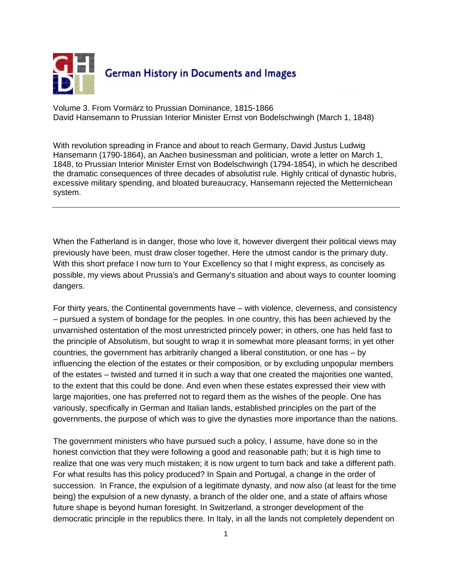

Volume 3. From Vormärz to Prussian Dominance, 1815-1866 David Hansemann to Prussian Interior Minister Ernst von Bodelschwingh (March 1, 1848)

With revolution spreading in France and about to reach Germany, David Justus Ludwig Hansemann (1790-1864), an Aachen businessman and politician, wrote a letter on March 1, 1848, to Prussian Interior Minister Ernst von Bodelschwingh (1794-1854), in which he described the dramatic consequences of three decades of absolutist rule. Highly critical of dynastic hubris, excessive military spending, and bloated bureaucracy, Hansemann rejected the Metternichean system.

When the Fatherland is in danger, those who love it, however divergent their political views may previously have been, must draw closer together. Here the utmost candor is the primary duty. With this short preface I now turn to Your Excellency so that I might express, as concisely as possible, my views about Prussia's and Germany's situation and about ways to counter looming dangers.

For thirty years, the Continental governments have – with violence, cleverness, and consistency – pursued a system of bondage for the peoples. In one country, this has been achieved by the unvarnished ostentation of the most unrestricted princely power; in others, one has held fast to the principle of Absolutism, but sought to wrap it in somewhat more pleasant forms; in yet other countries, the government has arbitrarily changed a liberal constitution, or one has – by influencing the election of the estates or their composition, or by excluding unpopular members of the estates – twisted and turned it in such a way that one created the majorities one wanted, to the extent that this could be done. And even when these estates expressed their view with large majorities, one has preferred not to regard them as the wishes of the people. One has variously, specifically in German and Italian lands, established principles on the part of the governments, the purpose of which was to give the dynasties more importance than the nations.

The government ministers who have pursued such a policy, I assume, have done so in the honest conviction that they were following a good and reasonable path; but it is high time to realize that one was very much mistaken; it is now urgent to turn back and take a different path. For what results has this policy produced? In Spain and Portugal, a change in the order of succession. In France, the expulsion of a legitimate dynasty, and now also (at least for the time being) the expulsion of a new dynasty, a branch of the older one, and a state of affairs whose future shape is beyond human foresight. In Switzerland, a stronger development of the democratic principle in the republics there. In Italy, in all the lands not completely dependent on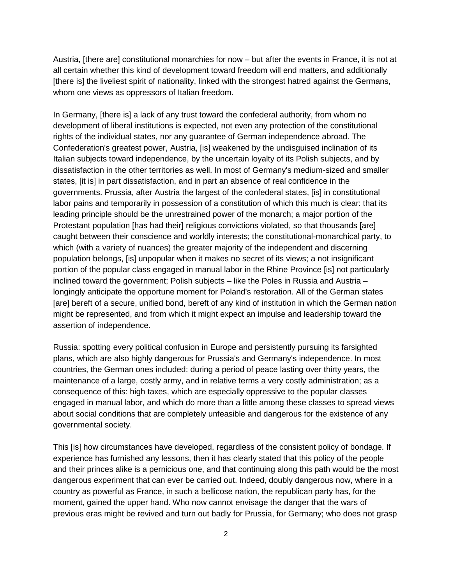Austria, [there are] constitutional monarchies for now – but after the events in France, it is not at all certain whether this kind of development toward freedom will end matters, and additionally [there is] the liveliest spirit of nationality, linked with the strongest hatred against the Germans, whom one views as oppressors of Italian freedom.

In Germany, [there is] a lack of any trust toward the confederal authority, from whom no development of liberal institutions is expected, not even any protection of the constitutional rights of the individual states, nor any guarantee of German independence abroad. The Confederation's greatest power, Austria, [is] weakened by the undisguised inclination of its Italian subjects toward independence, by the uncertain loyalty of its Polish subjects, and by dissatisfaction in the other territories as well. In most of Germany's medium-sized and smaller states, [it is] in part dissatisfaction, and in part an absence of real confidence in the governments. Prussia, after Austria the largest of the confederal states, [is] in constitutional labor pains and temporarily in possession of a constitution of which this much is clear: that its leading principle should be the unrestrained power of the monarch; a major portion of the Protestant population [has had their] religious convictions violated, so that thousands [are] caught between their conscience and worldly interests; the constitutional-monarchical party, to which (with a variety of nuances) the greater majority of the independent and discerning population belongs, [is] unpopular when it makes no secret of its views; a not insignificant portion of the popular class engaged in manual labor in the Rhine Province [is] not particularly inclined toward the government; Polish subjects – like the Poles in Russia and Austria – longingly anticipate the opportune moment for Poland's restoration. All of the German states [are] bereft of a secure, unified bond, bereft of any kind of institution in which the German nation might be represented, and from which it might expect an impulse and leadership toward the assertion of independence.

Russia: spotting every political confusion in Europe and persistently pursuing its farsighted plans, which are also highly dangerous for Prussia's and Germany's independence. In most countries, the German ones included: during a period of peace lasting over thirty years, the maintenance of a large, costly army, and in relative terms a very costly administration; as a consequence of this: high taxes, which are especially oppressive to the popular classes engaged in manual labor, and which do more than a little among these classes to spread views about social conditions that are completely unfeasible and dangerous for the existence of any governmental society.

This [is] how circumstances have developed, regardless of the consistent policy of bondage. If experience has furnished any lessons, then it has clearly stated that this policy of the people and their princes alike is a pernicious one, and that continuing along this path would be the most dangerous experiment that can ever be carried out. Indeed, doubly dangerous now, where in a country as powerful as France, in such a bellicose nation, the republican party has, for the moment, gained the upper hand. Who now cannot envisage the danger that the wars of previous eras might be revived and turn out badly for Prussia, for Germany; who does not grasp